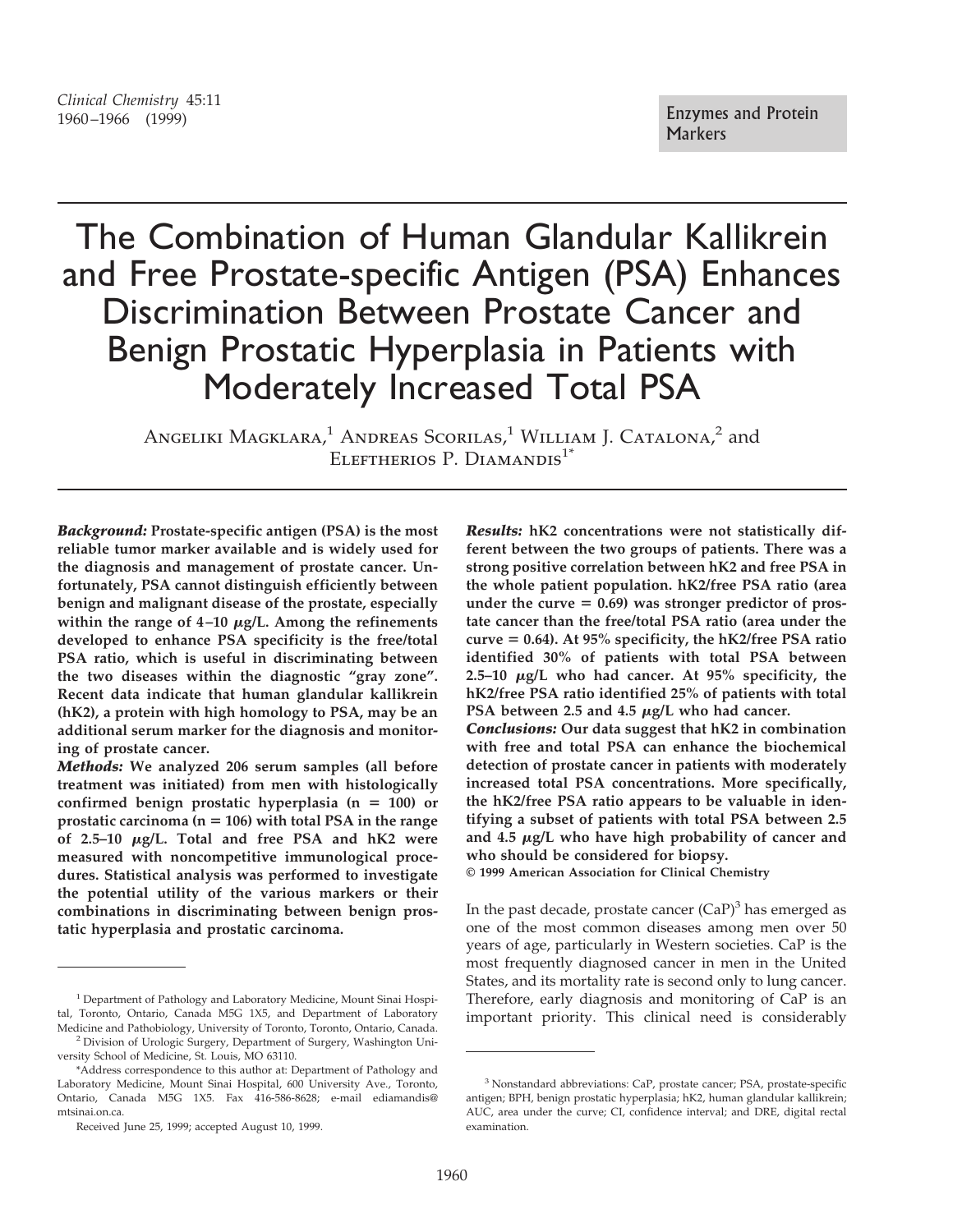# *Clinical Chemistry* 45:11 Enzymes and Protein<br>1960–1966 (1999)

# The Combination of Human Glandular Kallikrein and Free Prostate-specific Antigen (PSA) Enhances Discrimination Between Prostate Cancer and Benign Prostatic Hyperplasia in Patients with Moderately Increased Total PSA

ANGELIKI MAGKLARA,<sup>1</sup> ANDREAS SCORILAS,<sup>1</sup> WILLIAM J. CATALONA,<sup>2</sup> and ELEFTHERIOS P. DIAMANDIS<sup>1\*</sup>

*Background:* **Prostate-specific antigen (PSA) is the most reliable tumor marker available and is widely used for the diagnosis and management of prostate cancer. Unfortunately, PSA cannot distinguish efficiently between benign and malignant disease of the prostate, especially within the range of 4–10** <sup>m</sup>**g/L. Among the refinements developed to enhance PSA specificity is the free/total PSA ratio, which is useful in discriminating between the two diseases within the diagnostic "gray zone". Recent data indicate that human glandular kallikrein (hK2), a protein with high homology to PSA, may be an additional serum marker for the diagnosis and monitoring of prostate cancer.**

*Methods:* **We analyzed 206 serum samples (all before treatment was initiated) from men with histologically** confirmed benign prostatic hyperplasia  $(n = 100)$  or **prostatic carcinoma (n** 5 **106) with total PSA in the range of 2.5–10** <sup>m</sup>**g/L. Total and free PSA and hK2 were measured with noncompetitive immunological procedures. Statistical analysis was performed to investigate the potential utility of the various markers or their combinations in discriminating between benign prostatic hyperplasia and prostatic carcinoma.**

*Results:* **hK2 concentrations were not statistically different between the two groups of patients. There was a strong positive correlation between hK2 and free PSA in the whole patient population. hK2/free PSA ratio (area** under the curve = 0.69) was stronger predictor of pros**tate cancer than the free/total PSA ratio (area under the curve** 5 **0.64). At 95% specificity, the hK2/free PSA ratio identified 30% of patients with total PSA between 2.5–10** <sup>m</sup>**g/L who had cancer. At 95% specificity, the hK2/free PSA ratio identified 25% of patients with total PSA between 2.5 and 4.5**  $\mu$ **g/L who had cancer.** 

*Conclusions:* **Our data suggest that hK2 in combination with free and total PSA can enhance the biochemical detection of prostate cancer in patients with moderately increased total PSA concentrations. More specifically, the hK2/free PSA ratio appears to be valuable in identifying a subset of patients with total PSA between 2.5 and 4.5** <sup>m</sup>**g/L who have high probability of cancer and who should be considered for biopsy.**

**© 1999 American Association for Clinical Chemistry**

In the past decade, prostate cancer  $(CaP)^3$  has emerged as one of the most common diseases among men over 50 years of age, particularly in Western societies. CaP is the most frequently diagnosed cancer in men in the United States, and its mortality rate is second only to lung cancer. Therefore, early diagnosis and monitoring of CaP is an important priority. This clinical need is considerably

<sup>&</sup>lt;sup>1</sup> Department of Pathology and Laboratory Medicine, Mount Sinai Hospital, Toronto, Ontario, Canada M5G 1X5, and Department of Laboratory Medicine and Pathobiology, University of Toronto, Toronto, Ontario, Canada. <sup>2</sup> Division of Urologic Surgery, Department of Surgery, Washington Uni-

versity School of Medicine, St. Louis, MO 63110.

<sup>\*</sup>Address correspondence to this author at: Department of Pathology and Laboratory Medicine, Mount Sinai Hospital, 600 University Ave., Toronto, Ontario, Canada M5G 1X5. Fax 416-586-8628; e-mail ediamandis@ mtsinai.on.ca.

Received June 25, 1999; accepted August 10, 1999.

<sup>&</sup>lt;sup>3</sup> Nonstandard abbreviations: CaP, prostate cancer; PSA, prostate-specific antigen; BPH, benign prostatic hyperplasia; hK2, human glandular kallikrein; AUC, area under the curve; CI, confidence interval; and DRE, digital rectal examination.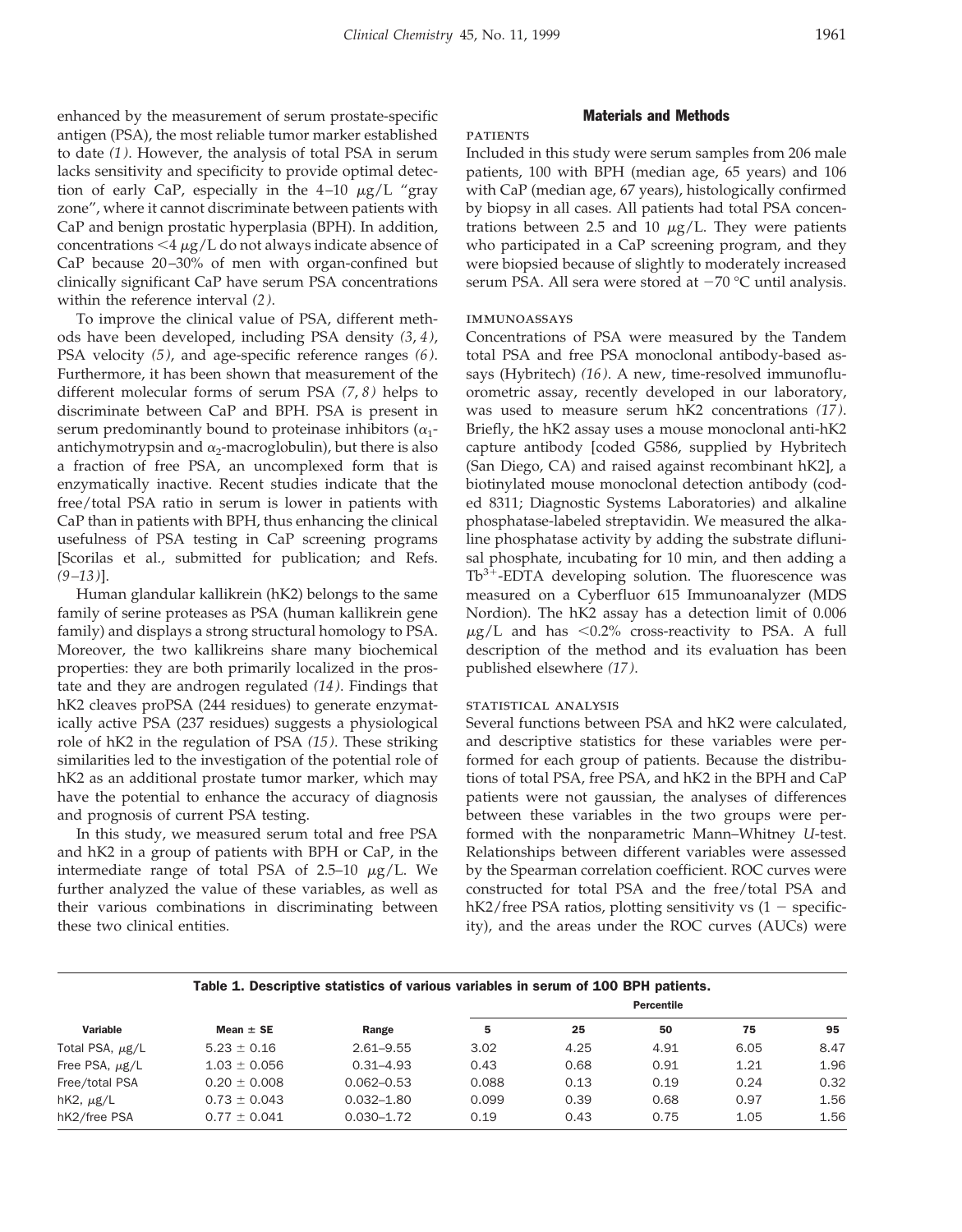enhanced by the measurement of serum prostate-specific antigen (PSA), the most reliable tumor marker established to date *(1)*. However, the analysis of total PSA in serum lacks sensitivity and specificity to provide optimal detection of early CaP, especially in the  $4-10 \mu g/L$  "gray zone", where it cannot discriminate between patients with CaP and benign prostatic hyperplasia (BPH). In addition, concentrations  $\leq$   $\frac{4 \mu g}{L}$  do not always indicate absence of CaP because 20–30% of men with organ-confined but clinically significant CaP have serum PSA concentrations within the reference interval *(2)*.

To improve the clinical value of PSA, different methods have been developed, including PSA density *(3*, *4)*, PSA velocity *(5)*, and age-specific reference ranges *(6)*. Furthermore, it has been shown that measurement of the different molecular forms of serum PSA *(7*, *8)* helps to discriminate between CaP and BPH. PSA is present in serum predominantly bound to proteinase inhibitors  $(\alpha_1$ antichymotrypsin and  $\alpha_2$ -macroglobulin), but there is also a fraction of free PSA, an uncomplexed form that is enzymatically inactive. Recent studies indicate that the free/total PSA ratio in serum is lower in patients with CaP than in patients with BPH, thus enhancing the clinical usefulness of PSA testing in CaP screening programs [Scorilas et al., submitted for publication; and Refs. *(9–13)*].

Human glandular kallikrein (hK2) belongs to the same family of serine proteases as PSA (human kallikrein gene family) and displays a strong structural homology to PSA. Moreover, the two kallikreins share many biochemical properties: they are both primarily localized in the prostate and they are androgen regulated *(14)*. Findings that hK2 cleaves proPSA (244 residues) to generate enzymatically active PSA (237 residues) suggests a physiological role of hK2 in the regulation of PSA *(15)*. These striking similarities led to the investigation of the potential role of hK2 as an additional prostate tumor marker, which may have the potential to enhance the accuracy of diagnosis and prognosis of current PSA testing.

In this study, we measured serum total and free PSA and hK2 in a group of patients with BPH or CaP, in the intermediate range of total PSA of  $2.5-10 \mu g/L$ . We further analyzed the value of these variables, as well as their various combinations in discriminating between these two clinical entities.

#### Materials and Methods

## **PATIENTS**

Included in this study were serum samples from 206 male patients, 100 with BPH (median age, 65 years) and 106 with CaP (median age, 67 years), histologically confirmed by biopsy in all cases. All patients had total PSA concentrations between 2.5 and 10  $\mu$ g/L. They were patients who participated in a CaP screening program, and they were biopsied because of slightly to moderately increased serum PSA. All sera were stored at  $-70$  °C until analysis.

### immunoassays

Concentrations of PSA were measured by the Tandem total PSA and free PSA monoclonal antibody-based assays (Hybritech) *(16)*. A new, time-resolved immunofluorometric assay, recently developed in our laboratory, was used to measure serum hK2 concentrations *(17)*. Briefly, the hK2 assay uses a mouse monoclonal anti-hK2 capture antibody [coded G586, supplied by Hybritech (San Diego, CA) and raised against recombinant hK2], a biotinylated mouse monoclonal detection antibody (coded 8311; Diagnostic Systems Laboratories) and alkaline phosphatase-labeled streptavidin. We measured the alkaline phosphatase activity by adding the substrate diflunisal phosphate, incubating for 10 min, and then adding a  $Tb^{3+}$ -EDTA developing solution. The fluorescence was measured on a Cyberfluor 615 Immunoanalyzer (MDS Nordion). The hK2 assay has a detection limit of 0.006  $\mu$ g/L and has <0.2% cross-reactivity to PSA. A full description of the method and its evaluation has been published elsewhere *(17)*.

#### statistical analysis

Several functions between PSA and hK2 were calculated, and descriptive statistics for these variables were performed for each group of patients. Because the distributions of total PSA, free PSA, and hK2 in the BPH and CaP patients were not gaussian, the analyses of differences between these variables in the two groups were performed with the nonparametric Mann–Whitney *U*-test. Relationships between different variables were assessed by the Spearman correlation coefficient. ROC curves were constructed for total PSA and the free/total PSA and hK2/free PSA ratios, plotting sensitivity vs  $(1 -$  specificity), and the areas under the ROC curves (AUCs) were

### Table 1. Descriptive statistics of various variables in serum of 100 BPH patients.

| Variable             | Mean $\pm$ SE    | Range          | Percentile |      |      |      |      |
|----------------------|------------------|----------------|------------|------|------|------|------|
|                      |                  |                | 5          | 25   | 50   | 75   | 95   |
| Total PSA, $\mu$ g/L | $5.23 \pm 0.16$  | $2.61 - 9.55$  | 3.02       | 4.25 | 4.91 | 6.05 | 8.47 |
| Free PSA, $\mu$ g/L  | $1.03 \pm 0.056$ | $0.31 - 4.93$  | 0.43       | 0.68 | 0.91 | 1.21 | 1.96 |
| Free/total PSA       | $0.20 \pm 0.008$ | $0.062 - 0.53$ | 0.088      | 0.13 | 0.19 | 0.24 | 0.32 |
| hK2, $\mu$ g/L       | $0.73 \pm 0.043$ | $0.032 - 1.80$ | 0.099      | 0.39 | 0.68 | 0.97 | 1.56 |
| hK2/free PSA         | $0.77 \pm 0.041$ | $0.030 - 1.72$ | 0.19       | 0.43 | 0.75 | 1.05 | 1.56 |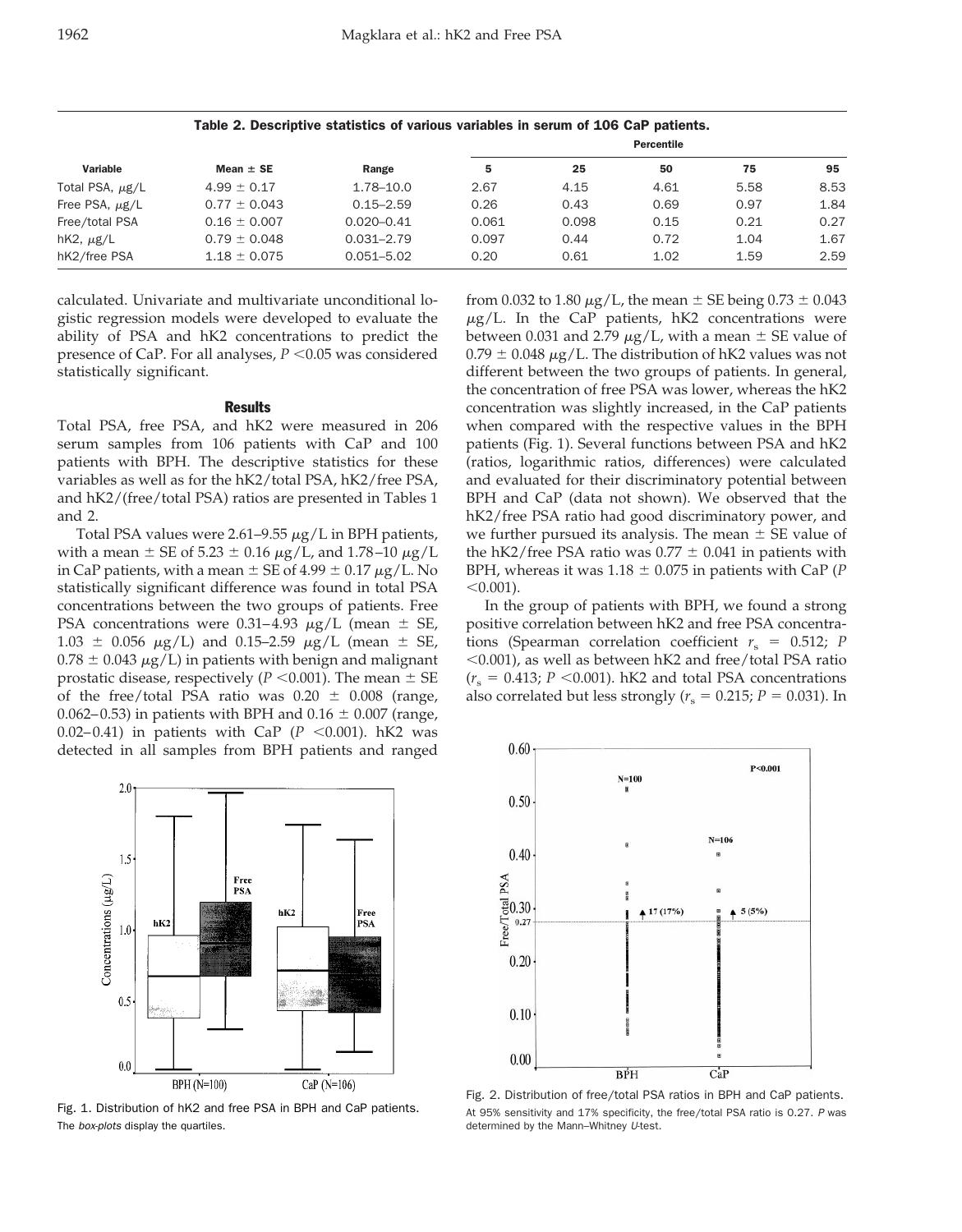|                      | Table 2. Descriptive statistics of various variables in serum of 106 CaP patients. |                |                   |       |      |      |      |
|----------------------|------------------------------------------------------------------------------------|----------------|-------------------|-------|------|------|------|
| Variable             | Mean $\pm$ SE                                                                      | Range          | <b>Percentile</b> |       |      |      |      |
|                      |                                                                                    |                | 5                 | 25    | 50   | 75   | 95   |
| Total PSA, $\mu$ g/L | $4.99 \pm 0.17$                                                                    | 1.78-10.0      | 2.67              | 4.15  | 4.61 | 5.58 | 8.53 |
| Free PSA, $\mu$ g/L  | $0.77 \pm 0.043$                                                                   | $0.15 - 2.59$  | 0.26              | 0.43  | 0.69 | 0.97 | 1.84 |
| Free/total PSA       | $0.16 \pm 0.007$                                                                   | $0.020 - 0.41$ | 0.061             | 0.098 | 0.15 | 0.21 | 0.27 |
| hK2, $\mu$ g/L       | $0.79 \pm 0.048$                                                                   | $0.031 - 2.79$ | 0.097             | 0.44  | 0.72 | 1.04 | 1.67 |
| hK2/free PSA         | $1.18 \pm 0.075$                                                                   | $0.051 - 5.02$ | 0.20              | 0.61  | 1.02 | 1.59 | 2.59 |

calculated. Univariate and multivariate unconditional logistic regression models were developed to evaluate the ability of PSA and hK2 concentrations to predict the presence of CaP. For all analyses,  $P < 0.05$  was considered statistically significant.

#### **Results**

Total PSA, free PSA, and hK2 were measured in 206 serum samples from 106 patients with CaP and 100 patients with BPH. The descriptive statistics for these variables as well as for the hK2/total PSA, hK2/free PSA, and hK2/(free/total PSA) ratios are presented in Tables 1 and 2.

Total PSA values were 2.61–9.55  $\mu$ g/L in BPH patients, with a mean  $\pm$  SE of 5.23  $\pm$  0.16  $\mu$ g/L, and 1.78–10  $\mu$ g/L in CaP patients, with a mean  $\pm$  SE of 4.99  $\pm$  0.17  $\mu$ g/L. No statistically significant difference was found in total PSA concentrations between the two groups of patients. Free PSA concentrations were 0.31–4.93  $\mu$ g/L (mean  $\pm$  SE,  $1.03 \pm 0.056 \mu g/L$  and 0.15–2.59  $\mu g/L$  (mean  $\pm$  SE,  $0.78 \pm 0.043 \mu g/L$ ) in patients with benign and malignant prostatic disease, respectively ( $P < 0.001$ ). The mean  $\pm$  SE of the free/total PSA ratio was  $0.20 \pm 0.008$  (range, 0.062–0.53) in patients with BPH and 0.16  $\pm$  0.007 (range, 0.02–0.41) in patients with CaP  $(P \le 0.001)$ . hK2 was detected in all samples from BPH patients and ranged



Fig. 1. Distribution of hK2 and free PSA in BPH and CaP patients. The box-plots display the quartiles.

from 0.032 to 1.80  $\mu$ g/L, the mean  $\pm$  SE being 0.73  $\pm$  0.043  $\mu$ g/L. In the CaP patients, hK2 concentrations were between 0.031 and 2.79  $\mu$ g/L, with a mean  $\pm$  SE value of  $0.79 \pm 0.048 \mu g/L$ . The distribution of hK2 values was not different between the two groups of patients. In general, the concentration of free PSA was lower, whereas the hK2 concentration was slightly increased, in the CaP patients when compared with the respective values in the BPH patients (Fig. 1). Several functions between PSA and hK2 (ratios, logarithmic ratios, differences) were calculated and evaluated for their discriminatory potential between BPH and CaP (data not shown). We observed that the hK2/free PSA ratio had good discriminatory power, and we further pursued its analysis. The mean  $\pm$  SE value of the hK2/free PSA ratio was  $0.77 \pm 0.041$  in patients with BPH, whereas it was  $1.18 \pm 0.075$  in patients with CaP (*P*  $< 0.001$ ).

In the group of patients with BPH, we found a strong positive correlation between hK2 and free PSA concentrations (Spearman correlation coefficient  $r_s = 0.512; P$  $<$ 0.001), as well as between hK2 and free/total PSA ratio  $(r<sub>s</sub> = 0.413; P < 0.001)$ . hK2 and total PSA concentrations also correlated but less strongly ( $r<sub>s</sub> = 0.215$ ;  $P = 0.031$ ). In



Fig. 2. Distribution of free/total PSA ratios in BPH and CaP patients. At 95% sensitivity and 17% specificity, the free/total PSA ratio is 0.27. <sup>P</sup> was determined by the Mann–Whitney <sup>U</sup>-test.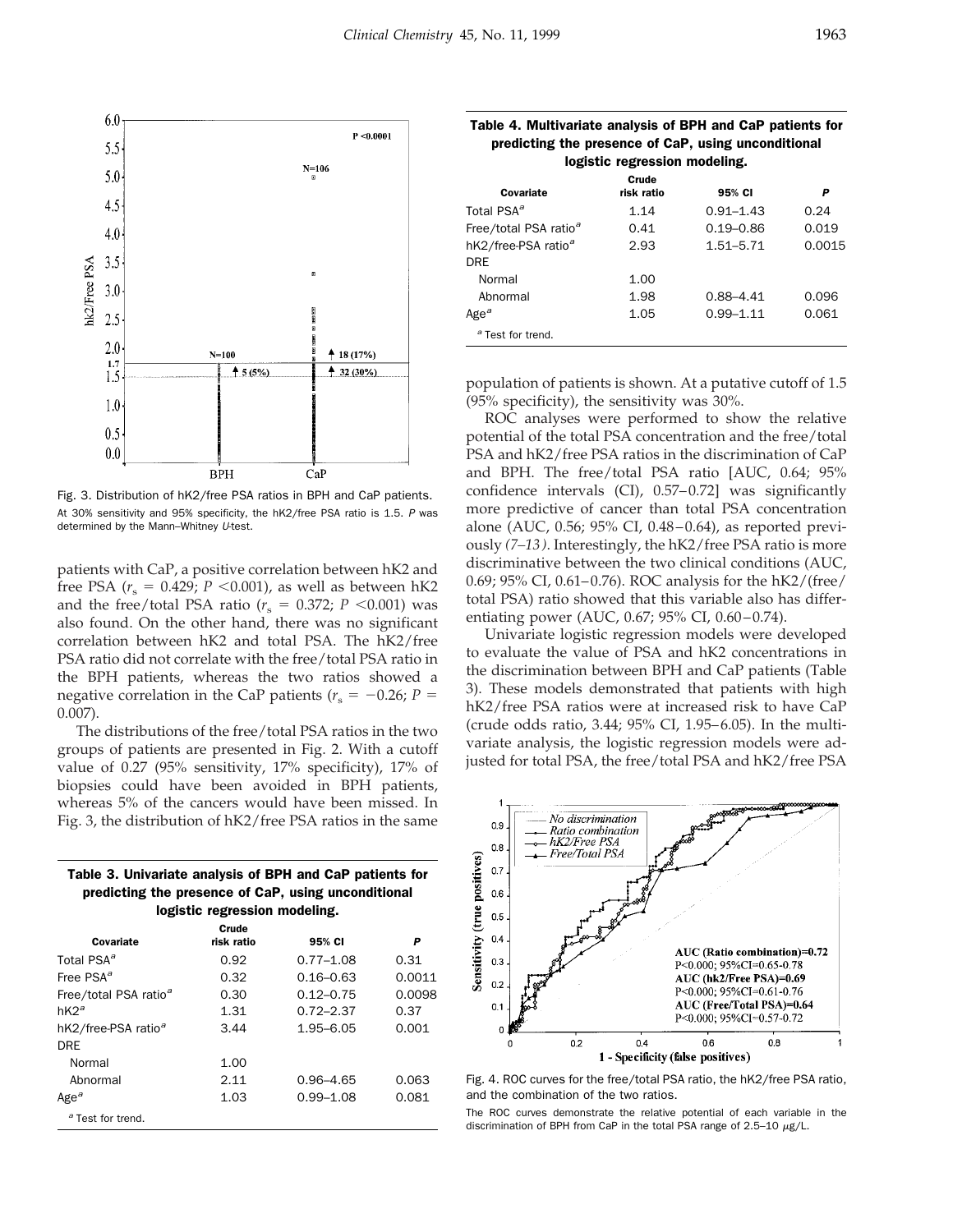

Fig. 3. Distribution of hK2/free PSA ratios in BPH and CaP patients. At 30% sensitivity and 95% specificity, the hK2/free PSA ratio is 1.5. <sup>P</sup> was determined by the Mann–Whitney <sup>U</sup>-test.

patients with CaP, a positive correlation between hK2 and free PSA ( $r_s$  = 0.429; *P* <0.001), as well as between hK2 and the free/total PSA ratio ( $r_s = 0.372$ ;  $P < 0.001$ ) was also found. On the other hand, there was no significant correlation between hK2 and total PSA. The hK2/free PSA ratio did not correlate with the free/total PSA ratio in the BPH patients, whereas the two ratios showed a negative correlation in the CaP patients ( $r_s = -0.26$ ; *P* = 0.007).

The distributions of the free/total PSA ratios in the two groups of patients are presented in Fig. 2. With a cutoff value of 0.27 (95% sensitivity, 17% specificity), 17% of biopsies could have been avoided in BPH patients, whereas 5% of the cancers would have been missed. In Fig. 3, the distribution of hK2/free PSA ratios in the same

| Table 3. Univariate analysis of BPH and CaP patients for |
|----------------------------------------------------------|
| predicting the presence of CaP, using unconditional      |
| logistic regression modeling.                            |

| Covariate                         | Crude<br>risk ratio | 95% CI        | P      |
|-----------------------------------|---------------------|---------------|--------|
| Total PSA <sup>a</sup>            | 0.92                | $0.77 - 1.08$ | 0.31   |
| Free PSA <sup>a</sup>             | 0.32                | $0.16 - 0.63$ | 0.0011 |
| Free/total PSA ratio <sup>a</sup> | 0.30                | $0.12 - 0.75$ | 0.0098 |
| $hK2^a$                           | 1.31                | $0.72 - 2.37$ | 0.37   |
| hK2/free-PSA ratio <sup>a</sup>   | 3.44                | $1.95 - 6.05$ | 0.001  |
| <b>DRF</b>                        |                     |               |        |
| Normal                            | 1.00                |               |        |
| Abnormal                          | 2.11                | $0.96 - 4.65$ | 0.063  |
| Age <sup><math>a</math></sup>     | 1.03                | $0.99 - 1.08$ | 0.081  |
| <sup>a</sup> Test for trend.      |                     |               |        |

| predicting the presence of CaP, using unconditional<br>logistic regression modeling. |                     |               |        |  |  |
|--------------------------------------------------------------------------------------|---------------------|---------------|--------|--|--|
| Covariate                                                                            | Crude<br>risk ratio | 95% CI        | Р      |  |  |
| Total PSA <sup>a</sup>                                                               | 1.14                | $0.91 - 1.43$ | 0.24   |  |  |
| Free/total PSA ratio <sup>a</sup>                                                    | 0.41                | $0.19 - 0.86$ | 0.019  |  |  |
| hK2/free-PSA ratio <sup>a</sup>                                                      | 2.93                | $1.51 - 5.71$ | 0.0015 |  |  |
| <b>DRF</b>                                                                           |                     |               |        |  |  |
| Normal                                                                               | 1.00                |               |        |  |  |
| Abnormal                                                                             | 1.98                | $0.88 - 4.41$ | 0.096  |  |  |
| Age $\sigma$                                                                         | 1.05                | $0.99 - 1.11$ | 0.061  |  |  |
| <sup>a</sup> Test for trend.                                                         |                     |               |        |  |  |

Table 4. Multivariate analysis of BPH and CaP patients for

population of patients is shown. At a putative cutoff of 1.5 (95% specificity), the sensitivity was 30%.

ROC analyses were performed to show the relative potential of the total PSA concentration and the free/total PSA and hK2/free PSA ratios in the discrimination of CaP and BPH. The free/total PSA ratio [AUC, 0.64; 95% confidence intervals (CI), 0.57–0.72] was significantly more predictive of cancer than total PSA concentration alone (AUC, 0.56; 95% CI, 0.48–0.64), as reported previously *(7–13)*. Interestingly, the hK2/free PSA ratio is more discriminative between the two clinical conditions (AUC, 0.69; 95% CI, 0.61–0.76). ROC analysis for the hK2/(free/ total PSA) ratio showed that this variable also has differentiating power (AUC, 0.67; 95% CI, 0.60–0.74).

Univariate logistic regression models were developed to evaluate the value of PSA and hK2 concentrations in the discrimination between BPH and CaP patients (Table 3). These models demonstrated that patients with high hK2/free PSA ratios were at increased risk to have CaP (crude odds ratio, 3.44; 95% CI, 1.95–6.05). In the multivariate analysis, the logistic regression models were adjusted for total PSA, the free/total PSA and hK2/free PSA



Fig. 4. ROC curves for the free/total PSA ratio, the hK2/free PSA ratio, and the combination of the two ratios.

The ROC curves demonstrate the relative potential of each variable in the discrimination of BPH from CaP in the total PSA range of 2.5-10  $\mu$ g/L.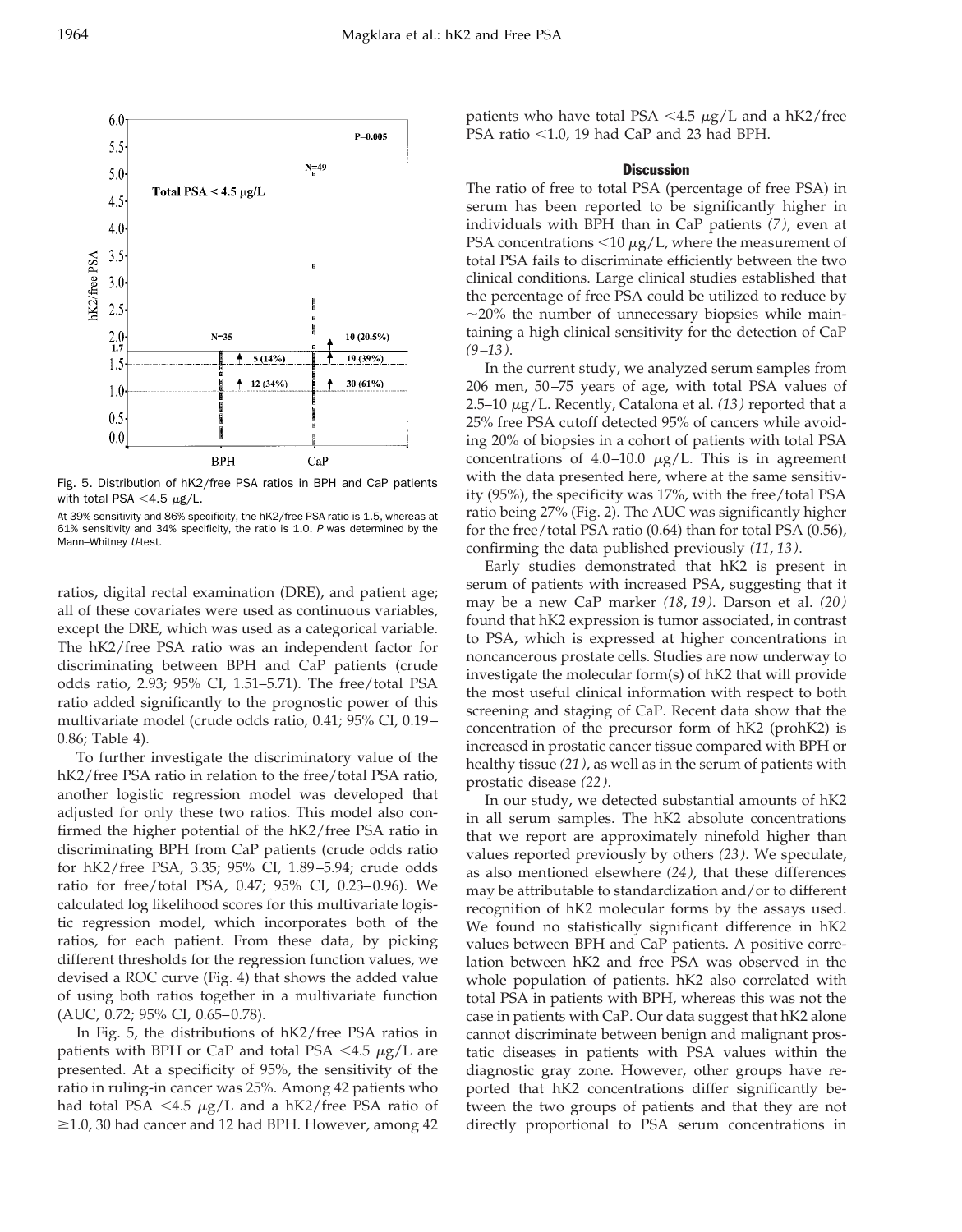

Fig. 5. Distribution of hK2/free PSA ratios in BPH and CaP patients with total PSA  $<$  4.5  $\mu$ g/L.

At 39% sensitivity and 86% specificity, the hK2/free PSA ratio is 1.5, whereas at 61% sensitivity and 34% specificity, the ratio is 1.0. <sup>P</sup> was determined by the Mann-Whitney U-test.

ratios, digital rectal examination (DRE), and patient age; all of these covariates were used as continuous variables, except the DRE, which was used as a categorical variable. The hK2/free PSA ratio was an independent factor for discriminating between BPH and CaP patients (crude odds ratio, 2.93; 95% CI, 1.51–5.71). The free/total PSA ratio added significantly to the prognostic power of this multivariate model (crude odds ratio, 0.41; 95% CI, 0.19– 0.86; Table 4).

To further investigate the discriminatory value of the hK2/free PSA ratio in relation to the free/total PSA ratio, another logistic regression model was developed that adjusted for only these two ratios. This model also confirmed the higher potential of the hK2/free PSA ratio in discriminating BPH from CaP patients (crude odds ratio for hK2/free PSA, 3.35; 95% CI, 1.89–5.94; crude odds ratio for free/total PSA, 0.47; 95% CI, 0.23–0.96). We calculated log likelihood scores for this multivariate logistic regression model, which incorporates both of the ratios, for each patient. From these data, by picking different thresholds for the regression function values, we devised a ROC curve (Fig. 4) that shows the added value of using both ratios together in a multivariate function (AUC, 0.72; 95% CI, 0.65–0.78).

In Fig. 5, the distributions of hK2/free PSA ratios in patients with BPH or CaP and total PSA  $\lt$ 4.5  $\mu$ g/L are presented. At a specificity of 95%, the sensitivity of the ratio in ruling-in cancer was 25%. Among 42 patients who had total PSA  $<$ 4.5  $\mu$ g/L and a hK2/free PSA ratio of  $\geq$ 1.0, 30 had cancer and 12 had BPH. However, among 42

patients who have total PSA <4.5  $\mu$ g/L and a hK2/free PSA ratio  $<$ 1.0, 19 had CaP and 23 had BPH.

#### **Discussion**

The ratio of free to total PSA (percentage of free PSA) in serum has been reported to be significantly higher in individuals with BPH than in CaP patients *(7)*, even at PSA concentrations  $<$ 10  $\mu$ g/L, where the measurement of total PSA fails to discriminate efficiently between the two clinical conditions. Large clinical studies established that the percentage of free PSA could be utilized to reduce by  $\sim$ 20% the number of unnecessary biopsies while maintaining a high clinical sensitivity for the detection of CaP *(9–13)*.

In the current study, we analyzed serum samples from 206 men, 50–75 years of age, with total PSA values of 2.5–10 <sup>m</sup>g/L. Recently, Catalona et al. *(13)* reported that a 25% free PSA cutoff detected 95% of cancers while avoiding 20% of biopsies in a cohort of patients with total PSA concentrations of 4.0–10.0  $\mu$ g/L. This is in agreement with the data presented here, where at the same sensitivity (95%), the specificity was 17%, with the free/total PSA ratio being 27% (Fig. 2). The AUC was significantly higher for the free/total PSA ratio (0.64) than for total PSA (0.56), confirming the data published previously *(11*, *13)*.

Early studies demonstrated that hK2 is present in serum of patients with increased PSA, suggesting that it may be a new CaP marker *(18*, *19)*. Darson et al. *(20)* found that hK2 expression is tumor associated, in contrast to PSA, which is expressed at higher concentrations in noncancerous prostate cells. Studies are now underway to investigate the molecular form(s) of hK2 that will provide the most useful clinical information with respect to both screening and staging of CaP. Recent data show that the concentration of the precursor form of hK2 (prohK2) is increased in prostatic cancer tissue compared with BPH or healthy tissue *(21)*, as well as in the serum of patients with prostatic disease *(22)*.

In our study, we detected substantial amounts of hK2 in all serum samples. The hK2 absolute concentrations that we report are approximately ninefold higher than values reported previously by others *(23)*. We speculate, as also mentioned elsewhere *(24)*, that these differences may be attributable to standardization and/or to different recognition of hK2 molecular forms by the assays used. We found no statistically significant difference in hK2 values between BPH and CaP patients. A positive correlation between hK2 and free PSA was observed in the whole population of patients. hK2 also correlated with total PSA in patients with BPH, whereas this was not the case in patients with CaP. Our data suggest that hK2 alone cannot discriminate between benign and malignant prostatic diseases in patients with PSA values within the diagnostic gray zone. However, other groups have reported that hK2 concentrations differ significantly between the two groups of patients and that they are not directly proportional to PSA serum concentrations in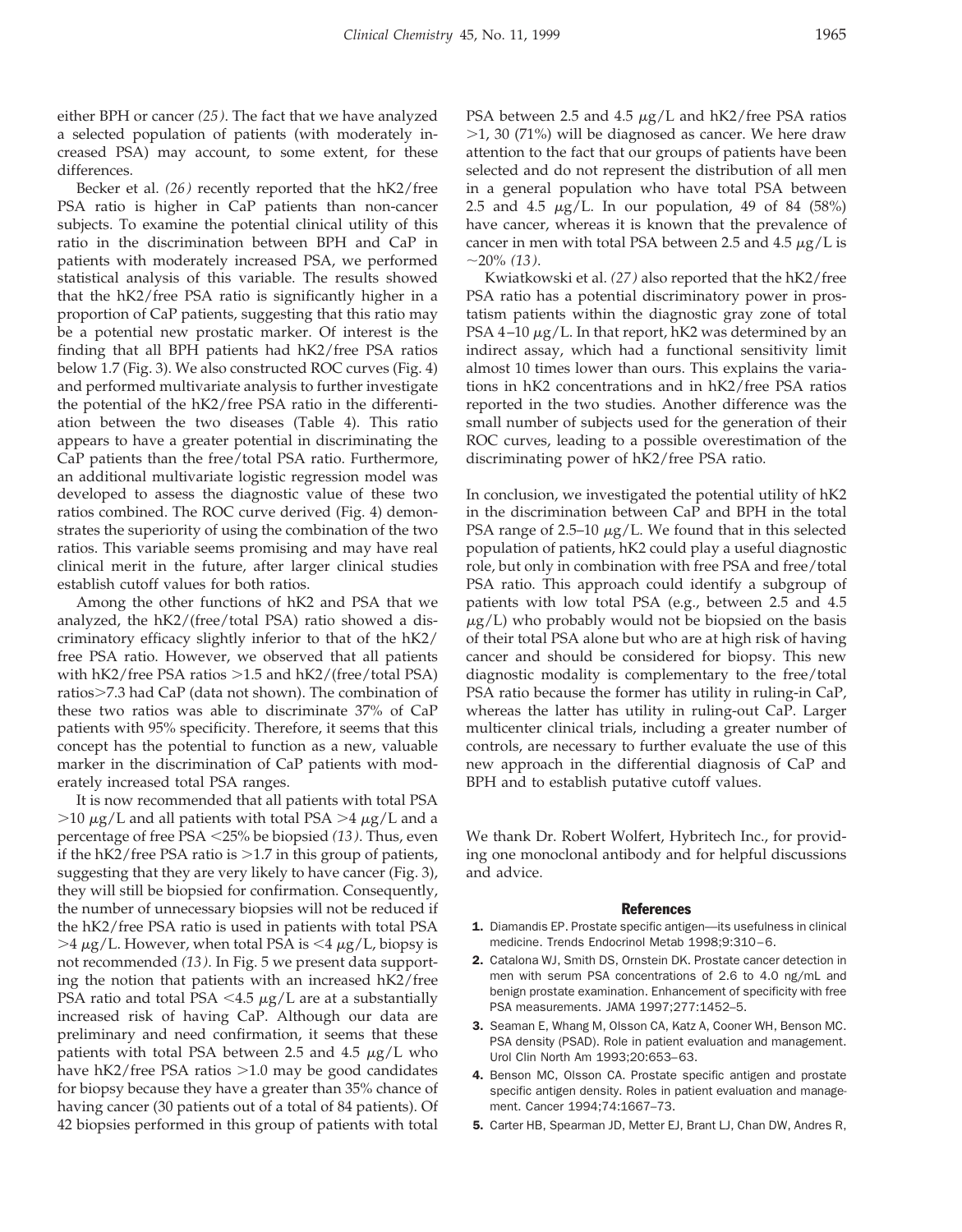either BPH or cancer *(25)*. The fact that we have analyzed a selected population of patients (with moderately increased PSA) may account, to some extent, for these differences.

Becker et al. *(26)* recently reported that the hK2/free PSA ratio is higher in CaP patients than non-cancer subjects. To examine the potential clinical utility of this ratio in the discrimination between BPH and CaP in patients with moderately increased PSA, we performed statistical analysis of this variable. The results showed that the hK2/free PSA ratio is significantly higher in a proportion of CaP patients, suggesting that this ratio may be a potential new prostatic marker. Of interest is the finding that all BPH patients had hK2/free PSA ratios below 1.7 (Fig. 3). We also constructed ROC curves (Fig. 4) and performed multivariate analysis to further investigate the potential of the hK2/free PSA ratio in the differentiation between the two diseases (Table 4). This ratio appears to have a greater potential in discriminating the CaP patients than the free/total PSA ratio. Furthermore, an additional multivariate logistic regression model was developed to assess the diagnostic value of these two ratios combined. The ROC curve derived (Fig. 4) demonstrates the superiority of using the combination of the two ratios. This variable seems promising and may have real clinical merit in the future, after larger clinical studies establish cutoff values for both ratios.

Among the other functions of hK2 and PSA that we analyzed, the hK2/(free/total PSA) ratio showed a discriminatory efficacy slightly inferior to that of the hK2/ free PSA ratio. However, we observed that all patients with  $hK2$ /free PSA ratios  $>1.5$  and  $hK2$ /(free/total PSA) ratios>7.3 had CaP (data not shown). The combination of these two ratios was able to discriminate 37% of CaP patients with 95% specificity. Therefore, it seems that this concept has the potential to function as a new, valuable marker in the discrimination of CaP patients with moderately increased total PSA ranges.

It is now recommended that all patients with total PSA  $>10 \mu$ g/L and all patients with total PSA  $>4 \mu$ g/L and a percentage of free PSA ,25% be biopsied *(13)*. Thus, even if the  $hK2$ /free PSA ratio is  $>1.7$  in this group of patients, suggesting that they are very likely to have cancer (Fig. 3), they will still be biopsied for confirmation. Consequently, the number of unnecessary biopsies will not be reduced if the hK2/free PSA ratio is used in patients with total PSA  $>4 \mu$ g/L. However, when total PSA is <4  $\mu$ g/L, biopsy is not recommended *(13)*. In Fig. 5 we present data supporting the notion that patients with an increased hK2/free PSA ratio and total PSA  $\lt$ 4.5  $\mu$ g/L are at a substantially increased risk of having CaP. Although our data are preliminary and need confirmation, it seems that these patients with total PSA between 2.5 and 4.5  $\mu$ g/L who have  $hK2$ /free PSA ratios  $>1.0$  may be good candidates for biopsy because they have a greater than 35% chance of having cancer (30 patients out of a total of 84 patients). Of 42 biopsies performed in this group of patients with total

PSA between 2.5 and 4.5  $\mu$ g/L and hK2/free PSA ratios  $>1$ , 30 (71%) will be diagnosed as cancer. We here draw attention to the fact that our groups of patients have been selected and do not represent the distribution of all men in a general population who have total PSA between 2.5 and 4.5  $\mu$ g/L. In our population, 49 of 84 (58%) have cancer, whereas it is known that the prevalence of cancer in men with total PSA between 2.5 and 4.5  $\mu$ g/L is ;20% *(13)*.

Kwiatkowski et al. *(27)* also reported that the hK2/free PSA ratio has a potential discriminatory power in prostatism patients within the diagnostic gray zone of total PSA 4–10  $\mu$ g/L. In that report, hK2 was determined by an indirect assay, which had a functional sensitivity limit almost 10 times lower than ours. This explains the variations in hK2 concentrations and in hK2/free PSA ratios reported in the two studies. Another difference was the small number of subjects used for the generation of their ROC curves, leading to a possible overestimation of the discriminating power of hK2/free PSA ratio.

In conclusion, we investigated the potential utility of hK2 in the discrimination between CaP and BPH in the total PSA range of 2.5–10  $\mu$ g/L. We found that in this selected population of patients, hK2 could play a useful diagnostic role, but only in combination with free PSA and free/total PSA ratio. This approach could identify a subgroup of patients with low total PSA (e.g., between 2.5 and 4.5  $\mu$ g/L) who probably would not be biopsied on the basis of their total PSA alone but who are at high risk of having cancer and should be considered for biopsy. This new diagnostic modality is complementary to the free/total PSA ratio because the former has utility in ruling-in CaP, whereas the latter has utility in ruling-out CaP. Larger multicenter clinical trials, including a greater number of controls, are necessary to further evaluate the use of this new approach in the differential diagnosis of CaP and BPH and to establish putative cutoff values.

We thank Dr. Robert Wolfert, Hybritech Inc., for providing one monoclonal antibody and for helpful discussions and advice.

#### **References**

- 1. Diamandis EP. Prostate specific antigen—its usefulness in clinical medicine. Trends Endocrinol Metab 1998;9:310–6.
- 2. Catalona WJ, Smith DS, Ornstein DK. Prostate cancer detection in men with serum PSA concentrations of 2.6 to 4.0 ng/mL and benign prostate examination. Enhancement of specificity with free PSA measurements. JAMA 1997;277:1452–5.
- 3. Seaman E, Whang M, Olsson CA, Katz A, Cooner WH, Benson MC. PSA density (PSAD). Role in patient evaluation and management. Urol Clin North Am 1993;20:653–63.
- 4. Benson MC, Olsson CA. Prostate specific antigen and prostate specific antigen density. Roles in patient evaluation and management. Cancer 1994;74:1667–73.
- 5. Carter HB, Spearman JD, Metter EJ, Brant LJ, Chan DW, Andres R,